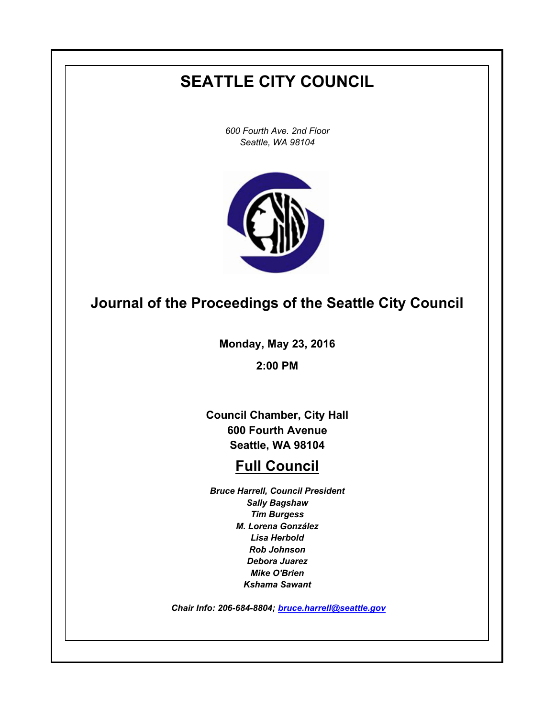# **SEATTLE CITY COUNCIL**

*600 Fourth Ave. 2nd Floor Seattle, WA 98104*



# **Journal of the Proceedings of the Seattle City Council**

**Monday, May 23, 2016**

**2:00 PM**

**Council Chamber, City Hall 600 Fourth Avenue Seattle, WA 98104**

# **Full Council**

*Bruce Harrell, Council President Sally Bagshaw Tim Burgess M. Lorena González Lisa Herbold Rob Johnson Debora Juarez Mike O'Brien Kshama Sawant*

 *Chair Info: 206-684-8804; [bruce.harrell@seattle.gov](mailto:bruce.harrell@seattle.gov)*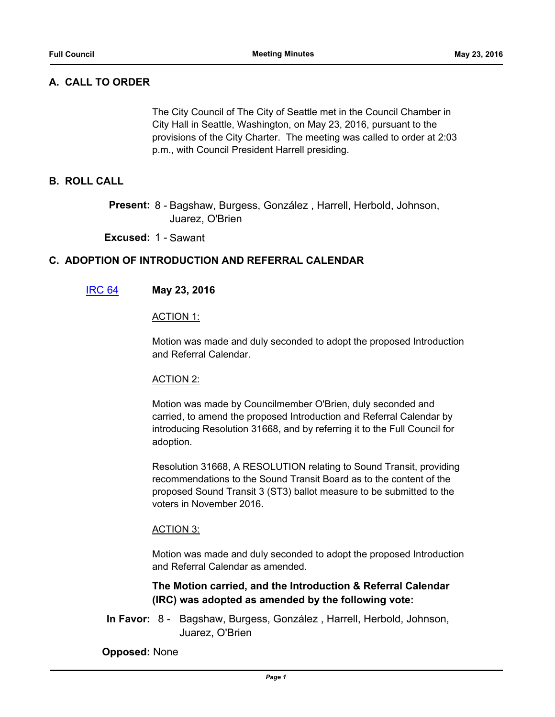# **A. CALL TO ORDER**

The City Council of The City of Seattle met in the Council Chamber in City Hall in Seattle, Washington, on May 23, 2016, pursuant to the provisions of the City Charter. The meeting was called to order at 2:03 p.m., with Council President Harrell presiding.

## **B. ROLL CALL**

Present: 8 - Bagshaw, Burgess, González, Harrell, Herbold, Johnson, Juarez, O'Brien

#### **Excused:** 1 - Sawant

## **C. ADOPTION OF INTRODUCTION AND REFERRAL CALENDAR**

#### [IRC 64](http://seattle.legistar.com/gateway.aspx?m=l&id=/matter.aspx?key=4068) **May 23, 2016**

#### ACTION 1:

Motion was made and duly seconded to adopt the proposed Introduction and Referral Calendar.

#### ACTION 2:

Motion was made by Councilmember O'Brien, duly seconded and carried, to amend the proposed Introduction and Referral Calendar by introducing Resolution 31668, and by referring it to the Full Council for adoption.

Resolution 31668, A RESOLUTION relating to Sound Transit, providing recommendations to the Sound Transit Board as to the content of the proposed Sound Transit 3 (ST3) ballot measure to be submitted to the voters in November 2016.

#### ACTION 3:

Motion was made and duly seconded to adopt the proposed Introduction and Referral Calendar as amended.

**The Motion carried, and the Introduction & Referral Calendar (IRC) was adopted as amended by the following vote:**

In Favor: 8 - Bagshaw, Burgess, González, Harrell, Herbold, Johnson, Juarez, O'Brien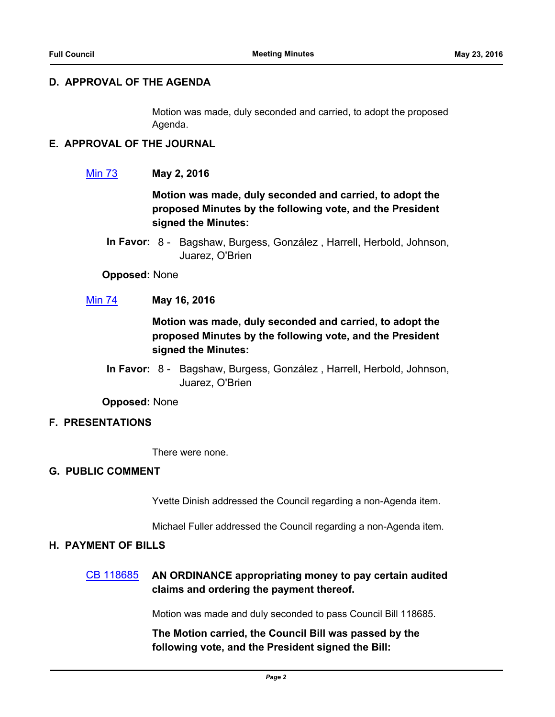## **D. APPROVAL OF THE AGENDA**

Motion was made, duly seconded and carried, to adopt the proposed Agenda.

## **E. APPROVAL OF THE JOURNAL**

## [Min 73](http://seattle.legistar.com/gateway.aspx?m=l&id=/matter.aspx?key=4066) **May 2, 2016**

**Motion was made, duly seconded and carried, to adopt the proposed Minutes by the following vote, and the President signed the Minutes:**

**Opposed:** None

## [Min 74](http://seattle.legistar.com/gateway.aspx?m=l&id=/matter.aspx?key=4067) **May 16, 2016**

# **Motion was made, duly seconded and carried, to adopt the proposed Minutes by the following vote, and the President signed the Minutes:**

In Favor: 8 - Bagshaw, Burgess, González, Harrell, Herbold, Johnson, Juarez, O'Brien

**Opposed:** None

## **F. PRESENTATIONS**

There were none.

#### **G. PUBLIC COMMENT**

Yvette Dinish addressed the Council regarding a non-Agenda item.

Michael Fuller addressed the Council regarding a non-Agenda item.

## **H. PAYMENT OF BILLS**

# [CB 118685](http://seattle.legistar.com/gateway.aspx?m=l&id=/matter.aspx?key=4044) **AN ORDINANCE appropriating money to pay certain audited claims and ordering the payment thereof.**

Motion was made and duly seconded to pass Council Bill 118685.

**The Motion carried, the Council Bill was passed by the following vote, and the President signed the Bill:**

In Favor: 8 - Bagshaw, Burgess, González, Harrell, Herbold, Johnson, Juarez, O'Brien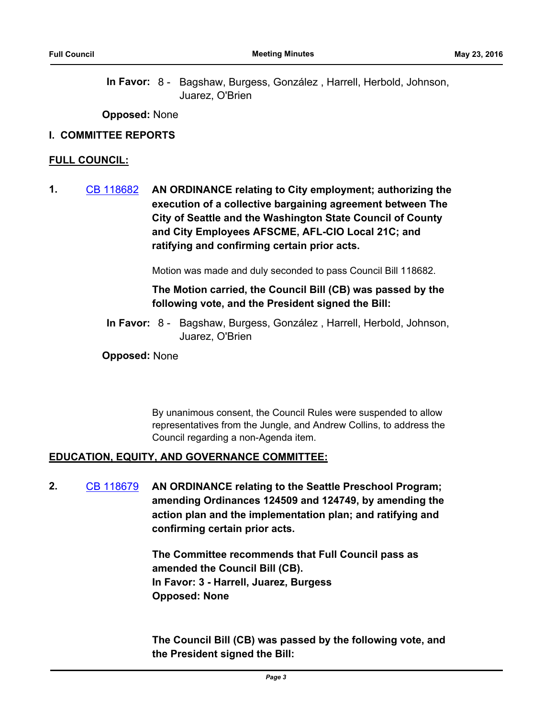**Opposed:** None

#### **I. COMMITTEE REPORTS**

#### **FULL COUNCIL:**

**1.** [CB 118682](http://seattle.legistar.com/gateway.aspx?m=l&id=/matter.aspx?key=3917) **AN ORDINANCE relating to City employment; authorizing the execution of a collective bargaining agreement between The City of Seattle and the Washington State Council of County and City Employees AFSCME, AFL-CIO Local 21C; and ratifying and confirming certain prior acts.**

Motion was made and duly seconded to pass Council Bill 118682.

# **The Motion carried, the Council Bill (CB) was passed by the following vote, and the President signed the Bill:**

In Favor: 8 - Bagshaw, Burgess, González, Harrell, Herbold, Johnson, Juarez, O'Brien

**Opposed:** None

By unanimous consent, the Council Rules were suspended to allow representatives from the Jungle, and Andrew Collins, to address the Council regarding a non-Agenda item.

## **EDUCATION, EQUITY, AND GOVERNANCE COMMITTEE:**

**2.** [CB 118679](http://seattle.legistar.com/gateway.aspx?m=l&id=/matter.aspx?key=3914) **AN ORDINANCE relating to the Seattle Preschool Program; amending Ordinances 124509 and 124749, by amending the action plan and the implementation plan; and ratifying and confirming certain prior acts.**

> **The Committee recommends that Full Council pass as amended the Council Bill (CB). In Favor: 3 - Harrell, Juarez, Burgess Opposed: None**

**The Council Bill (CB) was passed by the following vote, and the President signed the Bill:**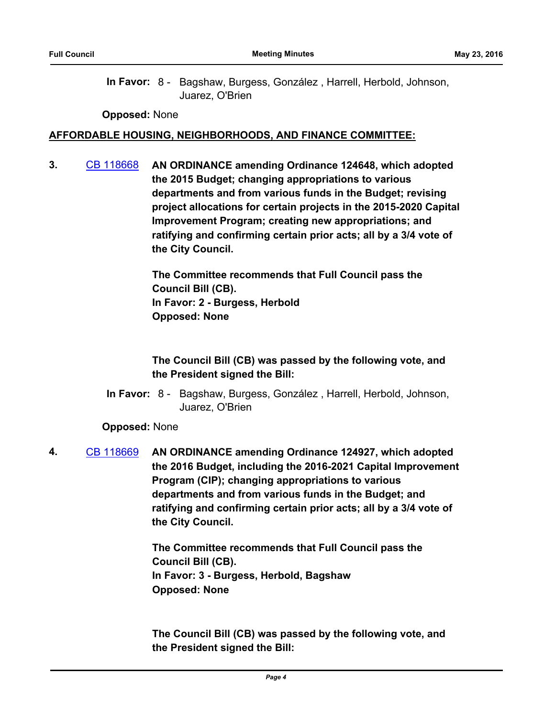**Opposed:** None

#### **AFFORDABLE HOUSING, NEIGHBORHOODS, AND FINANCE COMMITTEE:**

**3.** [CB 118668](http://seattle.legistar.com/gateway.aspx?m=l&id=/matter.aspx?key=3801) **AN ORDINANCE amending Ordinance 124648, which adopted the 2015 Budget; changing appropriations to various departments and from various funds in the Budget; revising project allocations for certain projects in the 2015-2020 Capital Improvement Program; creating new appropriations; and ratifying and confirming certain prior acts; all by a 3/4 vote of the City Council.**

> **The Committee recommends that Full Council pass the Council Bill (CB). In Favor: 2 - Burgess, Herbold Opposed: None**

# **The Council Bill (CB) was passed by the following vote, and the President signed the Bill:**

In Favor: 8 - Bagshaw, Burgess, González, Harrell, Herbold, Johnson, Juarez, O'Brien

## **Opposed:** None

**4.** [CB 118669](http://seattle.legistar.com/gateway.aspx?m=l&id=/matter.aspx?key=3802) **AN ORDINANCE amending Ordinance 124927, which adopted the 2016 Budget, including the 2016-2021 Capital Improvement Program (CIP); changing appropriations to various departments and from various funds in the Budget; and ratifying and confirming certain prior acts; all by a 3/4 vote of the City Council.**

> **The Committee recommends that Full Council pass the Council Bill (CB). In Favor: 3 - Burgess, Herbold, Bagshaw Opposed: None**

**The Council Bill (CB) was passed by the following vote, and the President signed the Bill:**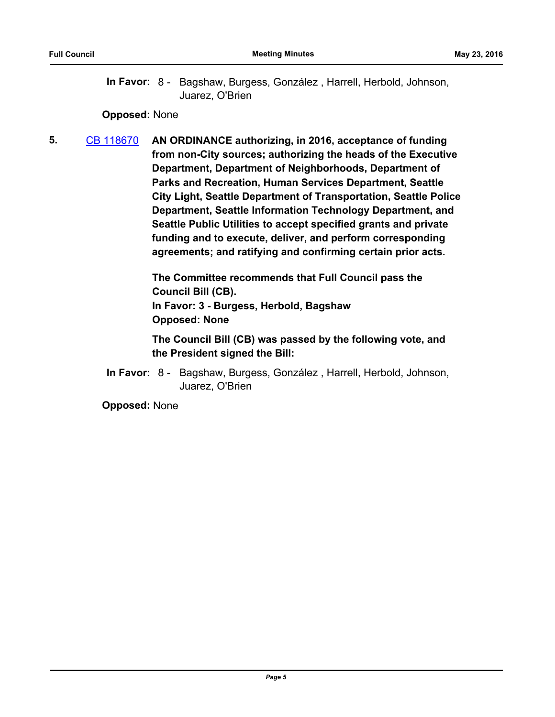#### **Opposed:** None

**5.** [CB 118670](http://seattle.legistar.com/gateway.aspx?m=l&id=/matter.aspx?key=3859) **AN ORDINANCE authorizing, in 2016, acceptance of funding from non-City sources; authorizing the heads of the Executive Department, Department of Neighborhoods, Department of Parks and Recreation, Human Services Department, Seattle City Light, Seattle Department of Transportation, Seattle Police Department, Seattle Information Technology Department, and Seattle Public Utilities to accept specified grants and private funding and to execute, deliver, and perform corresponding agreements; and ratifying and confirming certain prior acts.**

> **The Committee recommends that Full Council pass the Council Bill (CB). In Favor: 3 - Burgess, Herbold, Bagshaw Opposed: None**

**The Council Bill (CB) was passed by the following vote, and the President signed the Bill:**

In Favor: 8 - Bagshaw, Burgess, González, Harrell, Herbold, Johnson, Juarez, O'Brien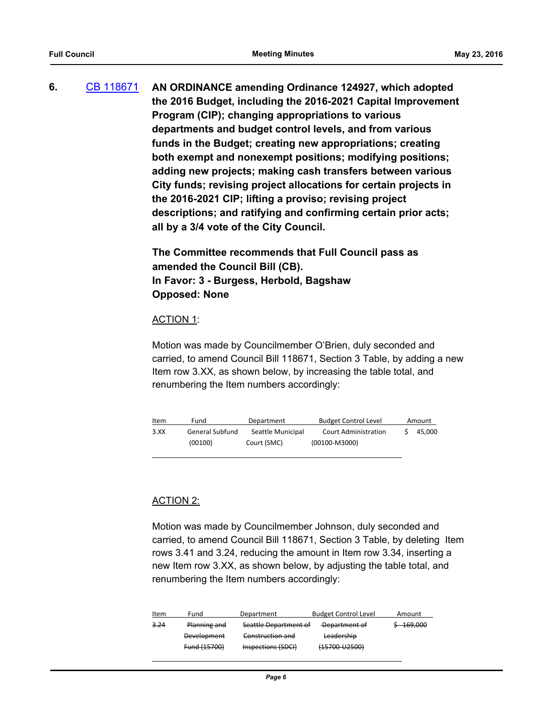**6.** [CB 118671](http://seattle.legistar.com/gateway.aspx?m=l&id=/matter.aspx?key=3858) **AN ORDINANCE amending Ordinance 124927, which adopted the 2016 Budget, including the 2016-2021 Capital Improvement Program (CIP); changing appropriations to various departments and budget control levels, and from various funds in the Budget; creating new appropriations; creating both exempt and nonexempt positions; modifying positions; adding new projects; making cash transfers between various City funds; revising project allocations for certain projects in the 2016-2021 CIP; lifting a proviso; revising project descriptions; and ratifying and confirming certain prior acts; all by a 3/4 vote of the City Council.**

> **The Committee recommends that Full Council pass as amended the Council Bill (CB). In Favor: 3 - Burgess, Herbold, Bagshaw Opposed: None**

#### ACTION 1:

Motion was made by Councilmember O'Brien, duly seconded and carried, to amend Council Bill 118671, Section 3 Table, by adding a new Item row 3.XX, as shown below, by increasing the table total, and renumbering the Item numbers accordingly:

| Item | Fund            | Department        | <b>Budget Control Level</b> | Amount |
|------|-----------------|-------------------|-----------------------------|--------|
| 3.XX | General Subfund | Seattle Municipal | <b>Court Administration</b> | 45,000 |
|      | (00100)         | Court (SMC)       | (00100-M3000)               |        |
|      |                 |                   |                             |        |

## ACTION 2:

Motion was made by Councilmember Johnson, duly seconded and carried, to amend Council Bill 118671, Section 3 Table, by deleting Item rows 3.41 and 3.24, reducing the amount in Item row 3.34, inserting a new Item row 3.XX, as shown below, by adjusting the table total, and renumbering the Item numbers accordingly:

| Item | Fund               | Department            | <b>Budget Control Level</b> | Amount  |
|------|--------------------|-----------------------|-----------------------------|---------|
| 3,24 | Planning and       | Seattle Department of | Department of               | 169,000 |
|      | <b>Development</b> | Construction and      | Leadership                  |         |
|      | Fund (15700)       | Inspections (SDCI)    | (15700-U2500)               |         |
|      |                    |                       |                             |         |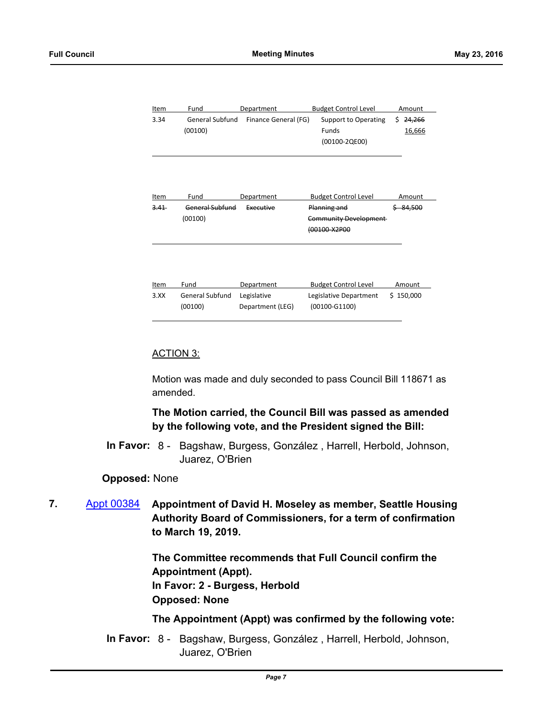| Item | Fund                   | Department           | <b>Budget Control Level</b>   | Amount       |
|------|------------------------|----------------------|-------------------------------|--------------|
| 3.34 | <b>General Subfund</b> | Finance General (FG) | Support to Operating          | 24,266<br>Ś. |
|      | (00100)                |                      | <b>Funds</b>                  | 16,666       |
|      |                        |                      | (00100-2QE00)                 |              |
|      |                        |                      |                               |              |
|      |                        |                      |                               |              |
|      |                        |                      |                               |              |
| Item | Fund                   | Department           | <b>Budget Control Level</b>   | Amount       |
| 3.41 | <b>General Subfund</b> | Executive            | Planning and                  | $$ -84,500$  |
|      | (00100)                |                      | <b>Community Development-</b> |              |
|      |                        |                      | (00100-X2P00                  |              |
|      |                        |                      |                               |              |
|      |                        |                      |                               |              |
|      |                        |                      |                               |              |
| Item | Fund                   | Department           | <b>Budget Control Level</b>   | Amount       |
| 3.XX | <b>General Subfund</b> | Legislative          | Legislative Department        | \$150,000    |
|      |                        |                      |                               |              |
|      | (00100)                | Department (LEG)     | (00100-G1100)                 |              |

#### ACTION 3:

l

Motion was made and duly seconded to pass Council Bill 118671 as amended.

## **The Motion carried, the Council Bill was passed as amended by the following vote, and the President signed the Bill:**

In Favor: 8 - Bagshaw, Burgess, González, Harrell, Herbold, Johnson, Juarez, O'Brien

#### **Opposed:** None

**7.** [Appt 00384](http://seattle.legistar.com/gateway.aspx?m=l&id=/matter.aspx?key=3945) **Appointment of David H. Moseley as member, Seattle Housing Authority Board of Commissioners, for a term of confirmation to March 19, 2019.**

> **The Committee recommends that Full Council confirm the Appointment (Appt). In Favor: 2 - Burgess, Herbold Opposed: None**

#### **The Appointment (Appt) was confirmed by the following vote:**

In Favor: 8 - Bagshaw, Burgess, González, Harrell, Herbold, Johnson, Juarez, O'Brien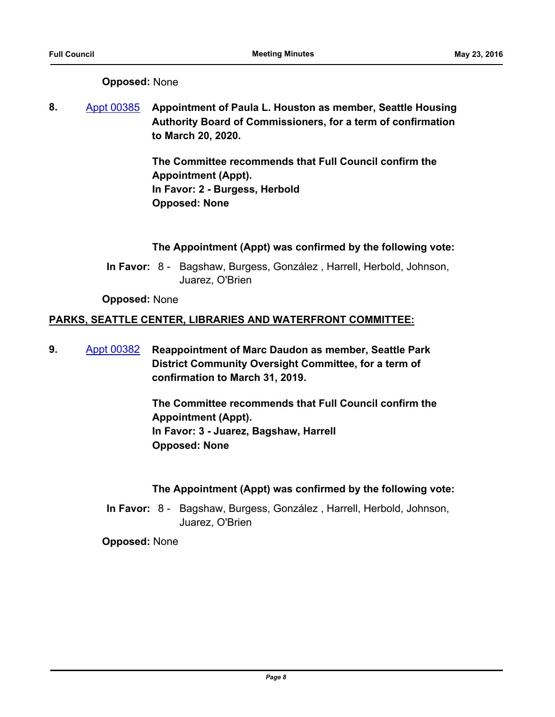## **Opposed:** None

**8.** [Appt 00385](http://seattle.legistar.com/gateway.aspx?m=l&id=/matter.aspx?key=3946) **Appointment of Paula L. Houston as member, Seattle Housing Authority Board of Commissioners, for a term of confirmation to March 20, 2020.**

> **The Committee recommends that Full Council confirm the Appointment (Appt). In Favor: 2 - Burgess, Herbold Opposed: None**

## **The Appointment (Appt) was confirmed by the following vote:**

In Favor: 8 - Bagshaw, Burgess, González, Harrell, Herbold, Johnson, Juarez, O'Brien

## **Opposed:** None

## **PARKS, SEATTLE CENTER, LIBRARIES AND WATERFRONT COMMITTEE:**

**9.** [Appt 00382](http://seattle.legistar.com/gateway.aspx?m=l&id=/matter.aspx?key=3924) **Reappointment of Marc Daudon as member, Seattle Park District Community Oversight Committee, for a term of confirmation to March 31, 2019.**

> **The Committee recommends that Full Council confirm the Appointment (Appt). In Favor: 3 - Juarez, Bagshaw, Harrell Opposed: None**

## **The Appointment (Appt) was confirmed by the following vote:**

In Favor: 8 - Bagshaw, Burgess, González, Harrell, Herbold, Johnson, Juarez, O'Brien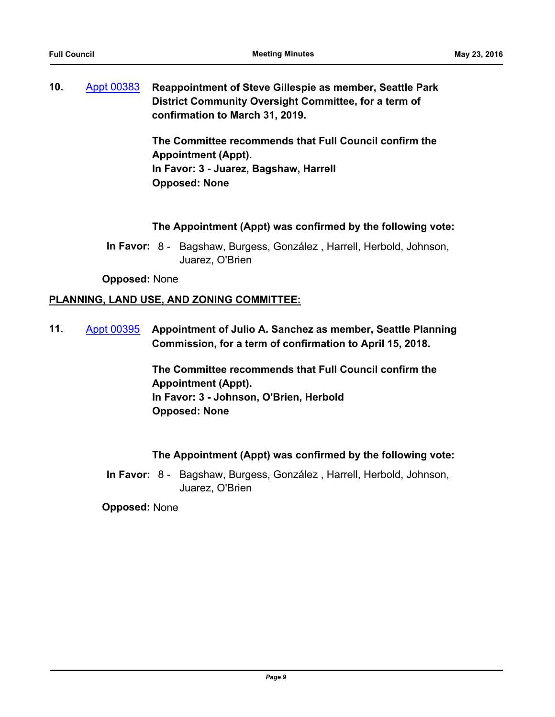**10.** [Appt 00383](http://seattle.legistar.com/gateway.aspx?m=l&id=/matter.aspx?key=3925) **Reappointment of Steve Gillespie as member, Seattle Park District Community Oversight Committee, for a term of confirmation to March 31, 2019.**

> **The Committee recommends that Full Council confirm the Appointment (Appt). In Favor: 3 - Juarez, Bagshaw, Harrell Opposed: None**

## **The Appointment (Appt) was confirmed by the following vote:**

In Favor: 8 - Bagshaw, Burgess, González, Harrell, Herbold, Johnson, Juarez, O'Brien

**Opposed:** None

## **PLANNING, LAND USE, AND ZONING COMMITTEE:**

**11.** [Appt 00395](http://seattle.legistar.com/gateway.aspx?m=l&id=/matter.aspx?key=4015) **Appointment of Julio A. Sanchez as member, Seattle Planning Commission, for a term of confirmation to April 15, 2018.**

> **The Committee recommends that Full Council confirm the Appointment (Appt). In Favor: 3 - Johnson, O'Brien, Herbold Opposed: None**

## **The Appointment (Appt) was confirmed by the following vote:**

In Favor: 8 - Bagshaw, Burgess, González, Harrell, Herbold, Johnson, Juarez, O'Brien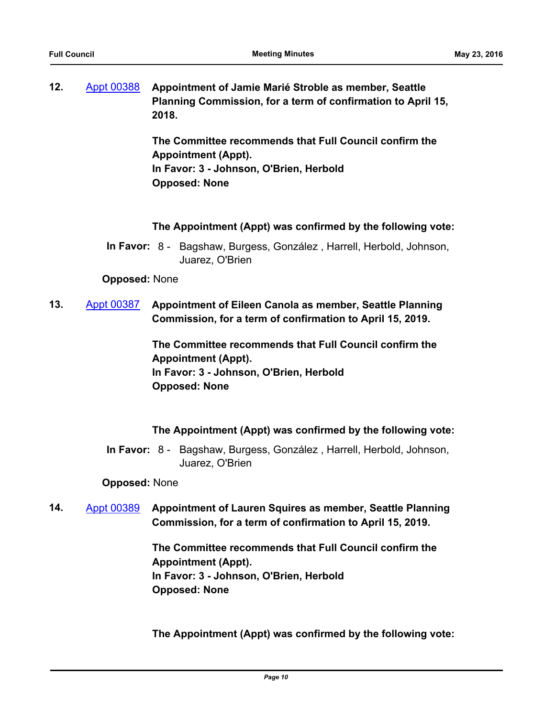| 12. | Appt 00388 | Appointment of Jamie Marié Stroble as member, Seattle                 |
|-----|------------|-----------------------------------------------------------------------|
|     |            | Planning Commission, for a term of confirmation to April 15,<br>2018. |
|     |            |                                                                       |

**The Committee recommends that Full Council confirm the Appointment (Appt). In Favor: 3 - Johnson, O'Brien, Herbold Opposed: None**

## **The Appointment (Appt) was confirmed by the following vote:**

In Favor: 8 - Bagshaw, Burgess, González, Harrell, Herbold, Johnson, Juarez, O'Brien

### **Opposed:** None

**13.** [Appt 00387](http://seattle.legistar.com/gateway.aspx?m=l&id=/matter.aspx?key=3992) **Appointment of Eileen Canola as member, Seattle Planning Commission, for a term of confirmation to April 15, 2019.**

> **The Committee recommends that Full Council confirm the Appointment (Appt). In Favor: 3 - Johnson, O'Brien, Herbold Opposed: None**

## **The Appointment (Appt) was confirmed by the following vote:**

In Favor: 8 - Bagshaw, Burgess, González, Harrell, Herbold, Johnson, Juarez, O'Brien

#### **Opposed:** None

**14.** [Appt 00389](http://seattle.legistar.com/gateway.aspx?m=l&id=/matter.aspx?key=3994) **Appointment of Lauren Squires as member, Seattle Planning Commission, for a term of confirmation to April 15, 2019.**

> **The Committee recommends that Full Council confirm the Appointment (Appt). In Favor: 3 - Johnson, O'Brien, Herbold Opposed: None**

**The Appointment (Appt) was confirmed by the following vote:**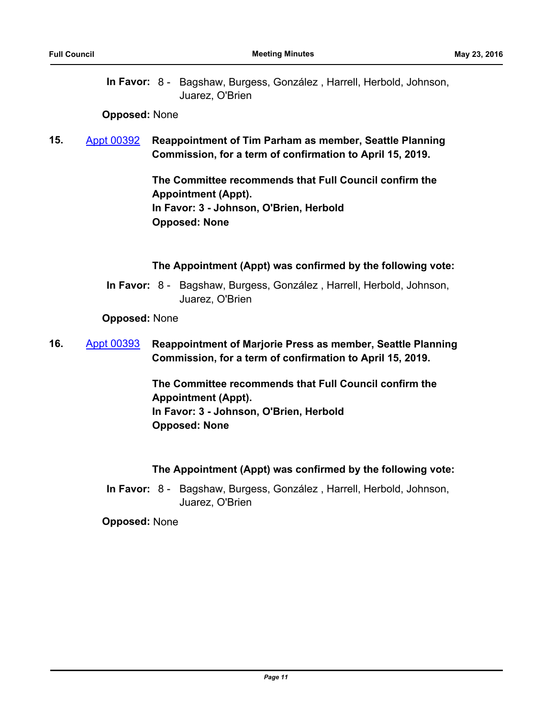## **Opposed:** None

**15.** [Appt 00392](http://seattle.legistar.com/gateway.aspx?m=l&id=/matter.aspx?key=4012) **Reappointment of Tim Parham as member, Seattle Planning Commission, for a term of confirmation to April 15, 2019.**

> **The Committee recommends that Full Council confirm the Appointment (Appt). In Favor: 3 - Johnson, O'Brien, Herbold Opposed: None**

## **The Appointment (Appt) was confirmed by the following vote:**

In Favor: 8 - Bagshaw, Burgess, González, Harrell, Herbold, Johnson, Juarez, O'Brien

**Opposed:** None

**16.** [Appt 00393](http://seattle.legistar.com/gateway.aspx?m=l&id=/matter.aspx?key=4013) **Reappointment of Marjorie Press as member, Seattle Planning Commission, for a term of confirmation to April 15, 2019.**

> **The Committee recommends that Full Council confirm the Appointment (Appt). In Favor: 3 - Johnson, O'Brien, Herbold Opposed: None**

## **The Appointment (Appt) was confirmed by the following vote:**

In Favor: 8 - Bagshaw, Burgess, González, Harrell, Herbold, Johnson, Juarez, O'Brien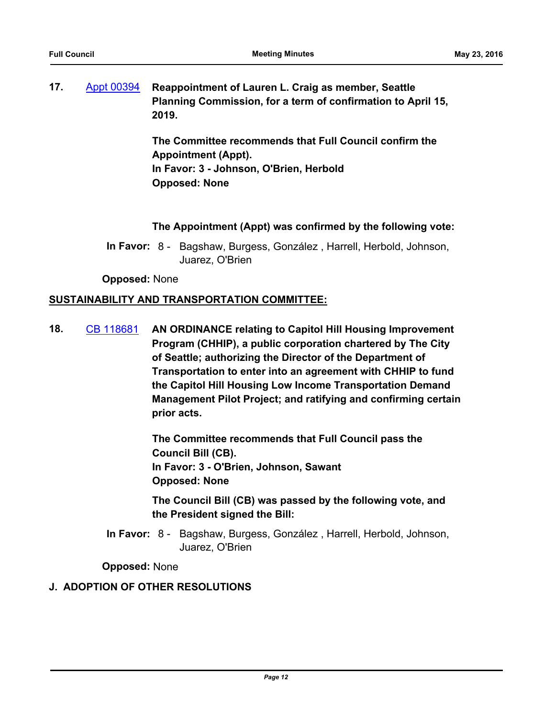| 17. | Appt 00394 | Reappointment of Lauren L. Craig as member, Seattle          |
|-----|------------|--------------------------------------------------------------|
|     |            | Planning Commission, for a term of confirmation to April 15, |
|     |            | 2019.                                                        |

**The Committee recommends that Full Council confirm the Appointment (Appt). In Favor: 3 - Johnson, O'Brien, Herbold Opposed: None**

## **The Appointment (Appt) was confirmed by the following vote:**

In Favor: 8 - Bagshaw, Burgess, González, Harrell, Herbold, Johnson, Juarez, O'Brien

**Opposed:** None

### **SUSTAINABILITY AND TRANSPORTATION COMMITTEE:**

**18.** [CB 118681](http://seattle.legistar.com/gateway.aspx?m=l&id=/matter.aspx?key=3901) **AN ORDINANCE relating to Capitol Hill Housing Improvement Program (CHHIP), a public corporation chartered by The City of Seattle; authorizing the Director of the Department of Transportation to enter into an agreement with CHHIP to fund the Capitol Hill Housing Low Income Transportation Demand Management Pilot Project; and ratifying and confirming certain prior acts.**

> **The Committee recommends that Full Council pass the Council Bill (CB). In Favor: 3 - O'Brien, Johnson, Sawant Opposed: None**

**The Council Bill (CB) was passed by the following vote, and the President signed the Bill:**

In Favor: 8 - Bagshaw, Burgess, González, Harrell, Herbold, Johnson, Juarez, O'Brien

**Opposed:** None

## **J. ADOPTION OF OTHER RESOLUTIONS**